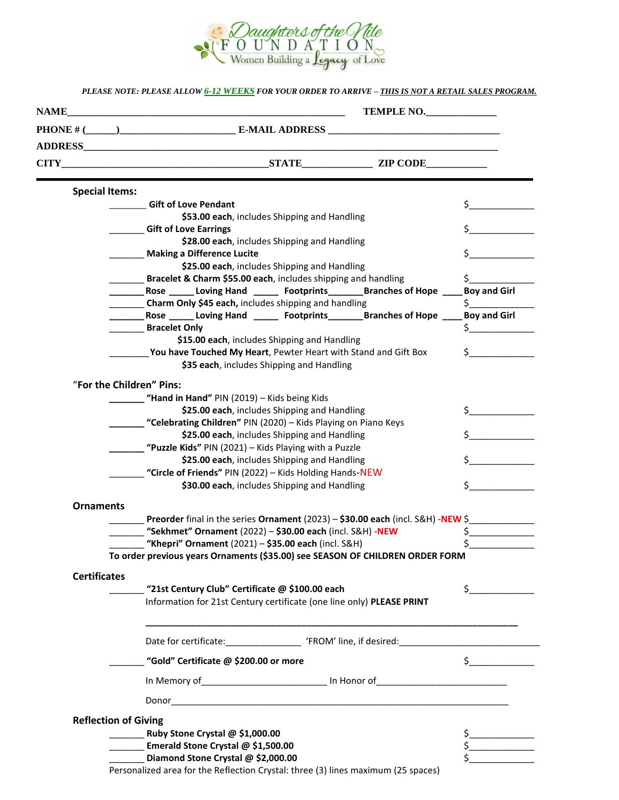

## *PLEASE NOTE: PLEASE ALLOW 6-12 WEEKS FOR YOUR ORDER TO ARRIVE – THIS IS NOT A RETAIL SALES PROGRAM.*

| <b>NAME</b>           | TEMPLE NO.                                                                                                                                                                                                                          |                     |
|-----------------------|-------------------------------------------------------------------------------------------------------------------------------------------------------------------------------------------------------------------------------------|---------------------|
|                       |                                                                                                                                                                                                                                     |                     |
| <b>ADDRESS</b>        |                                                                                                                                                                                                                                     |                     |
|                       |                                                                                                                                                                                                                                     |                     |
|                       | <b>CITY STATE STATE STATE STATE</b> STATE STATE STATE STATE STATE STATE STATE STATE STATE STATE STATE STATE STATE STATE STATE STATE STATE STATE STATE STATE STATE STATE STATE STATE STATE STATE STATE STATE STATE STATE STATE STATE |                     |
| <b>Special Items:</b> |                                                                                                                                                                                                                                     |                     |
|                       | <b>Gift of Love Pendant</b>                                                                                                                                                                                                         | \$.                 |
|                       | \$53.00 each, includes Shipping and Handling                                                                                                                                                                                        |                     |
|                       | <b>Gift of Love Earrings</b>                                                                                                                                                                                                        |                     |
|                       | \$28.00 each, includes Shipping and Handling                                                                                                                                                                                        |                     |
|                       | <b>Making a Difference Lucite</b>                                                                                                                                                                                                   |                     |
|                       | \$25.00 each, includes Shipping and Handling                                                                                                                                                                                        |                     |
|                       | Bracelet & Charm \$55.00 each, includes shipping and handling                                                                                                                                                                       |                     |
|                       | Rose Loving Hand _______ Footprints _______ Branches of Hope                                                                                                                                                                        | <b>Boy and Girl</b> |
|                       | Charm Only \$45 each, includes shipping and handling                                                                                                                                                                                | \$_                 |
|                       | Rose ______ Loving Hand _______ Footprints_________ Branches of Hope __                                                                                                                                                             | <b>Boy and Girl</b> |
|                       | <b>Bracelet Only</b>                                                                                                                                                                                                                | \$_                 |
|                       | \$15.00 each, includes Shipping and Handling                                                                                                                                                                                        |                     |
|                       | You have Touched My Heart, Pewter Heart with Stand and Gift Box                                                                                                                                                                     | \$                  |
|                       | \$35 each, includes Shipping and Handling                                                                                                                                                                                           |                     |
|                       | "For the Children" Pins:                                                                                                                                                                                                            |                     |
|                       | "Hand in Hand" PIN (2019) - Kids being Kids                                                                                                                                                                                         |                     |
|                       | \$25.00 each, includes Shipping and Handling                                                                                                                                                                                        | \$                  |
|                       | "Celebrating Children" PIN (2020) - Kids Playing on Piano Keys                                                                                                                                                                      |                     |
|                       | \$25.00 each, includes Shipping and Handling                                                                                                                                                                                        |                     |
|                       | "Puzzle Kids" PIN (2021) - Kids Playing with a Puzzle                                                                                                                                                                               |                     |
|                       | \$25.00 each, includes Shipping and Handling                                                                                                                                                                                        |                     |
|                       | "Circle of Friends" PIN (2022) - Kids Holding Hands-NEW                                                                                                                                                                             |                     |
|                       | \$30.00 each, includes Shipping and Handling                                                                                                                                                                                        | \$                  |
|                       |                                                                                                                                                                                                                                     |                     |
| <b>Ornaments</b>      |                                                                                                                                                                                                                                     |                     |
|                       | <b>Preorder</b> final in the series <b>Ornament</b> (2023) - \$30.00 each (incl. S&H) - <b>NEW</b> \$<br>"Sekhmet" Ornament (2022) - \$30.00 each (incl. S&H) -NEW                                                                  | $\mathsf{\$}$       |
|                       | "Khepri" Ornament (2021) - \$35.00 each (incl. S&H)                                                                                                                                                                                 |                     |
|                       | To order previous years Ornaments (\$35.00) see SEASON OF CHILDREN ORDER FORM                                                                                                                                                       |                     |
|                       |                                                                                                                                                                                                                                     |                     |
| <b>Certificates</b>   |                                                                                                                                                                                                                                     |                     |
|                       | "21st Century Club" Certificate @ \$100.00 each                                                                                                                                                                                     | $\zeta$             |
|                       | Information for 21st Century certificate (one line only) PLEASE PRINT                                                                                                                                                               |                     |
|                       |                                                                                                                                                                                                                                     |                     |
|                       | "Gold" Certificate @ \$200.00 or more                                                                                                                                                                                               |                     |
|                       |                                                                                                                                                                                                                                     | $\frac{1}{2}$       |
|                       | In Memory of _______________________________ In Honor of _______________________                                                                                                                                                    |                     |
|                       |                                                                                                                                                                                                                                     |                     |
|                       | <b>Reflection of Giving</b>                                                                                                                                                                                                         |                     |
|                       | Ruby Stone Crystal @ \$1,000.00                                                                                                                                                                                                     |                     |
|                       | Emerald Stone Crystal @ \$1,500.00<br>Diamond Stone Crystal @ \$2,000.00                                                                                                                                                            | $\frac{1}{2}$       |
|                       |                                                                                                                                                                                                                                     |                     |